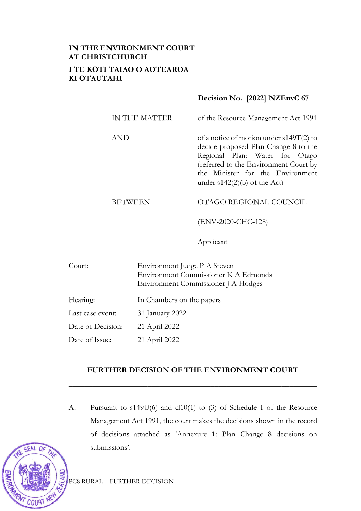# **IN THE ENVIRONMENT COURT AT CHRISTCHURCH I TE KŌTI TAIAO O AOTEAROA KI ŌTAUTAHI**

## **Decision No. [2022] NZEnvC 67**

| IN THE MATTER | of the Resource Management Act 1991                                                                                                                                                                                                |
|---------------|------------------------------------------------------------------------------------------------------------------------------------------------------------------------------------------------------------------------------------|
| AND           | of a notice of motion under $s149T(2)$ to<br>decide proposed Plan Change 8 to the<br>Regional Plan: Water for Otago<br>(referred to the Environment Court by<br>the Minister for the Environment<br>under $s142(2)(b)$ of the Act) |
| BEIWEEN       | OTAGO REGIONAL COUNCIL                                                                                                                                                                                                             |

(ENV-2020-CHC-128)

Applicant

| Court:            | Environment Judge P A Steven<br>Environment Commissioner K A Edmonds<br>Environment Commissioner J A Hodges |
|-------------------|-------------------------------------------------------------------------------------------------------------|
| Hearing:          | In Chambers on the papers                                                                                   |
| Last case event:  | 31 January 2022                                                                                             |
| Date of Decision: | 21 April 2022                                                                                               |
| Date of Issue:    | 21 April 2022                                                                                               |

### **FURTHER DECISION OF THE ENVIRONMENT COURT**

**\_\_\_\_\_\_\_\_\_\_\_\_\_\_\_\_\_\_\_\_\_\_\_\_\_\_\_\_\_\_\_\_\_\_\_\_\_\_\_\_\_\_\_\_\_\_\_\_\_\_\_\_\_\_\_\_\_\_\_\_\_\_\_**

\_\_\_\_\_\_\_\_\_\_\_\_\_\_\_\_\_\_\_\_\_\_\_\_\_\_\_\_\_\_\_\_\_\_\_\_\_\_\_\_\_\_\_\_\_\_\_\_\_\_\_\_\_\_\_\_\_\_\_\_\_\_\_

A: Pursuant to s149U(6) and cl10(1) to (3) of Schedule 1 of the Resource Management Act 1991, the court makes the decisions shown in the record of decisions attached as 'Annexure 1: Plan Change 8 decisions on submissions'.



COURT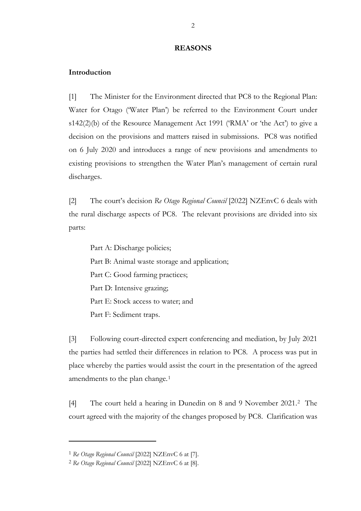#### **REASONS**

#### **Introduction**

[1] The Minister for the Environment directed that PC8 to the Regional Plan: Water for Otago ('Water Plan') be referred to the Environment Court under s142(2)(b) of the Resource Management Act 1991 ('RMA' or 'the Act') to give a decision on the provisions and matters raised in submissions. PC8 was notified on 6 July 2020 and introduces a range of new provisions and amendments to existing provisions to strengthen the Water Plan's management of certain rural discharges.

[2] The court's decision *Re Otago Regional Council* [2022] NZEnvC 6 deals with the rural discharge aspects of PC8. The relevant provisions are divided into six parts:

Part A: Discharge policies; Part B: Animal waste storage and application; Part C: Good farming practices; Part D: Intensive grazing; Part E: Stock access to water; and Part F: Sediment traps.

[3] Following court-directed expert conferencing and mediation, by July 2021 the parties had settled their differences in relation to PC8. A process was put in place whereby the parties would assist the court in the presentation of the agreed amendments to the plan change.<sup>[1](#page-1-0)</sup>

[4] The court held a hearing in Dunedin on 8 and 9 November 2021.[2](#page-1-1) The court agreed with the majority of the changes proposed by PC8. Clarification was

<span id="page-1-0"></span><sup>1</sup> *Re Otago Regional Council* [2022] NZEnvC 6 at [7].

<span id="page-1-1"></span><sup>2</sup> *Re Otago Regional Council* [2022] NZEnvC 6 at [8].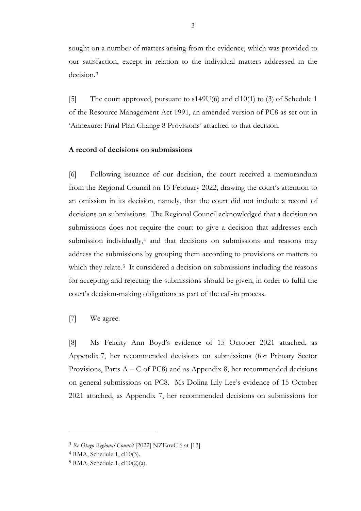sought on a number of matters arising from the evidence, which was provided to our satisfaction, except in relation to the individual matters addressed in the decision.[3](#page-2-0)

[5] The court approved, pursuant to s149U(6) and cl10(1) to (3) of Schedule 1 of the Resource Management Act 1991, an amended version of PC8 as set out in 'Annexure: Final Plan Change 8 Provisions' attached to that decision.

#### **A record of decisions on submissions**

[6] Following issuance of our decision, the court received a memorandum from the Regional Council on 15 February 2022, drawing the court's attention to an omission in its decision, namely, that the court did not include a record of decisions on submissions. The Regional Council acknowledged that a decision on submissions does not require the court to give a decision that addresses each submission individually,<sup>[4](#page-2-1)</sup> and that decisions on submissions and reasons may address the submissions by grouping them according to provisions or matters to which they relate.<sup>[5](#page-2-2)</sup> It considered a decision on submissions including the reasons for accepting and rejecting the submissions should be given, in order to fulfil the court's decision-making obligations as part of the call-in process.

[7] We agree.

[8] Ms Felicity Ann Boyd's evidence of 15 October 2021 attached, as Appendix 7, her recommended decisions on submissions (for Primary Sector Provisions, Parts  $A - C$  of PC8) and as Appendix 8, her recommended decisions on general submissions on PC8. Ms Dolina Lily Lee's evidence of 15 October 2021 attached, as Appendix 7, her recommended decisions on submissions for

<span id="page-2-0"></span><sup>3</sup> *Re Otago Regional Council* [2022] NZEnvC 6 at [13].

<span id="page-2-2"></span><span id="page-2-1"></span><sup>4</sup> RMA, Schedule 1, cl10(3).

<sup>5</sup> RMA, Schedule 1, cl10(2)(a).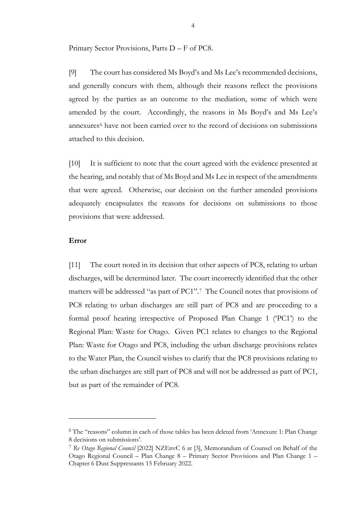Primary Sector Provisions, Parts D – F of PC8.

[9] The court has considered Ms Boyd's and Ms Lee's recommended decisions, and generally concurs with them, although their reasons reflect the provisions agreed by the parties as an outcome to the mediation, some of which were amended by the court. Accordingly, the reasons in Ms Boyd's and Ms Lee's annexures<sup>[6](#page-3-0)</sup> have not been carried over to the record of decisions on submissions attached to this decision.

[10] It is sufficient to note that the court agreed with the evidence presented at the hearing, and notably that of Ms Boyd and Ms Lee in respect of the amendments that were agreed. Otherwise, our decision on the further amended provisions adequately encapsulates the reasons for decisions on submissions to those provisions that were addressed.

#### **Error**

[11] The court noted in its decision that other aspects of PC8, relating to urban discharges, will be determined later. The court incorrectly identified that the other matters will be addressed "as part of PC1".[7](#page-3-1) The Council notes that provisions of PC8 relating to urban discharges are still part of PC8 and are proceeding to a formal proof hearing irrespective of Proposed Plan Change 1 ('PC1') to the Regional Plan: Waste for Otago. Given PC1 relates to changes to the Regional Plan: Waste for Otago and PC8, including the urban discharge provisions relates to the Water Plan, the Council wishes to clarify that the PC8 provisions relating to the urban discharges are still part of PC8 and will not be addressed as part of PC1, but as part of the remainder of PC8.

<span id="page-3-0"></span><sup>6</sup> The "reasons" column in each of those tables has been deleted from 'Annexure 1: Plan Change 8 decisions on submissions'.

<span id="page-3-1"></span><sup>7</sup> *Re Otago Regional Council* [2022] NZEnvC 6 at [3], Memorandum of Counsel on Behalf of the Otago Regional Council – Plan Change 8 – Primary Sector Provisions and Plan Change 1 – Chapter 6 Dust Suppressants 15 February 2022.